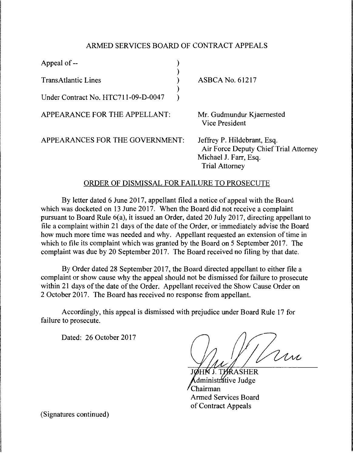## ARMED SERVICES BOARD OF CONTRACT APPEALS

| Appeal of --                        |                                                                                                                        |
|-------------------------------------|------------------------------------------------------------------------------------------------------------------------|
| <b>TransAtlantic Lines</b>          | <b>ASBCA No. 61217</b>                                                                                                 |
| Under Contract No. HTC711-09-D-0047 |                                                                                                                        |
| APPEARANCE FOR THE APPELLANT:       | Mr. Gudmundur Kjaernested<br><b>Vice President</b>                                                                     |
| APPEARANCES FOR THE GOVERNMENT:     | Jeffrey P. Hildebrant, Esq.<br>Air Force Deputy Chief Trial Attorney<br>Michael J. Farr, Esq.<br><b>Trial Attorney</b> |

## ORDER OF DISMISSAL FOR FAILURE TO PROSECUTE

By letter dated 6 June 2017, appellant filed a notice of appeal with the Board which was docketed on 13 June 2017. When the Board did not receive a complaint pursuant to Board Rule 6(a), it issued an Order, dated 20 July 2017, directing appellant to file a complaint within 21 days of the date of the Order, or immediately advise the Board how much more time was needed and why. Appellant requested an extension of time in which to file its complaint which was granted by the Board on 5 September 2017. The complaint was due by 20 September 2017. The Board received no filing by that date.

By Order dated 28 September 2017, the Board directed appellant to either file a complaint or show cause why the appeal should not be dismissed for failure to prosecute within 21 days of the date of the Order. Appellant received the Show Cause Order on 2 October 2017. The Board has received no response from appellant.

Accordingly, this appeal is dismissed with prejudice under Board Rule 17 for failure to prosecute.

Dated: 26 October 2017

Jan

**THRASHER** dministrátive Judge Chairman Armed Services Board of Contract Appeals

(Signatures continued)